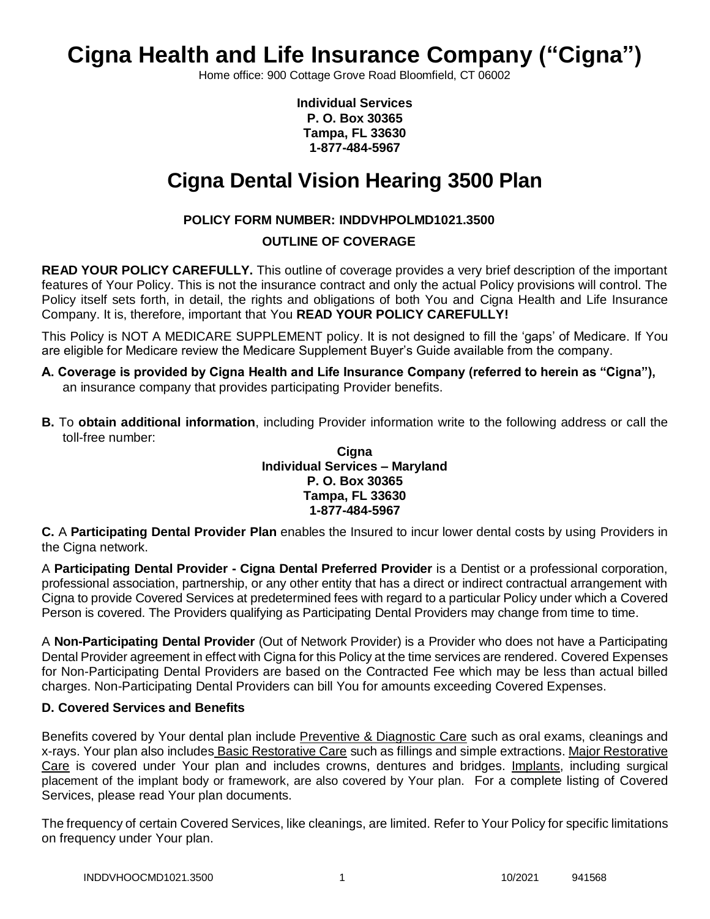# **Cigna Health and Life Insurance Company ("Cigna")**

Home office: 900 Cottage Grove Road Bloomfield, CT 06002

**Individual Services P. O. Box 30365 Tampa, FL 33630 1-877-484-5967**

# **Cigna Dental Vision Hearing 3500 Plan**

# **POLICY FORM NUMBER: INDDVHPOLMD1021.3500**

# **OUTLINE OF COVERAGE**

**READ YOUR POLICY CAREFULLY.** This outline of coverage provides a very brief description of the important features of Your Policy. This is not the insurance contract and only the actual Policy provisions will control. The Policy itself sets forth, in detail, the rights and obligations of both You and Cigna Health and Life Insurance Company. It is, therefore, important that You **READ YOUR POLICY CAREFULLY!** 

This Policy is NOT A MEDICARE SUPPLEMENT policy. It is not designed to fill the 'gaps' of Medicare. If You are eligible for Medicare review the Medicare Supplement Buyer's Guide available from the company.

- **A. Coverage is provided by Cigna Health and Life Insurance Company (referred to herein as "Cigna"),**  an insurance company that provides participating Provider benefits.
- **B.** To **obtain additional information**, including Provider information write to the following address or call the toll-free number:

## **Cigna Individual Services – Maryland P. O. Box 30365 Tampa, FL 33630 1-877-484-5967**

**C.** A **Participating Dental Provider Plan** enables the Insured to incur lower dental costs by using Providers in the Cigna network.

A **Participating Dental Provider - Cigna Dental Preferred Provider** is a Dentist or a professional corporation, professional association, partnership, or any other entity that has a direct or indirect contractual arrangement with Cigna to provide Covered Services at predetermined fees with regard to a particular Policy under which a Covered Person is covered. The Providers qualifying as Participating Dental Providers may change from time to time.

A **Non-Participating Dental Provider** (Out of Network Provider) is a Provider who does not have a Participating Dental Provider agreement in effect with Cigna for this Policy at the time services are rendered. Covered Expenses for Non-Participating Dental Providers are based on the Contracted Fee which may be less than actual billed charges. Non-Participating Dental Providers can bill You for amounts exceeding Covered Expenses.

# **D. Covered Services and Benefits**

Benefits covered by Your dental plan include Preventive & Diagnostic Care such as oral exams, cleanings and x-rays. Your plan also includes Basic Restorative Care such as fillings and simple extractions. Major Restorative Care is covered under Your plan and includes crowns, dentures and bridges. Implants, including surgical placement of the implant body or framework, are also covered by Your plan. For a complete listing of Covered Services, please read Your plan documents.

The frequency of certain Covered Services, like cleanings, are limited. Refer to Your Policy for specific limitations on frequency under Your plan.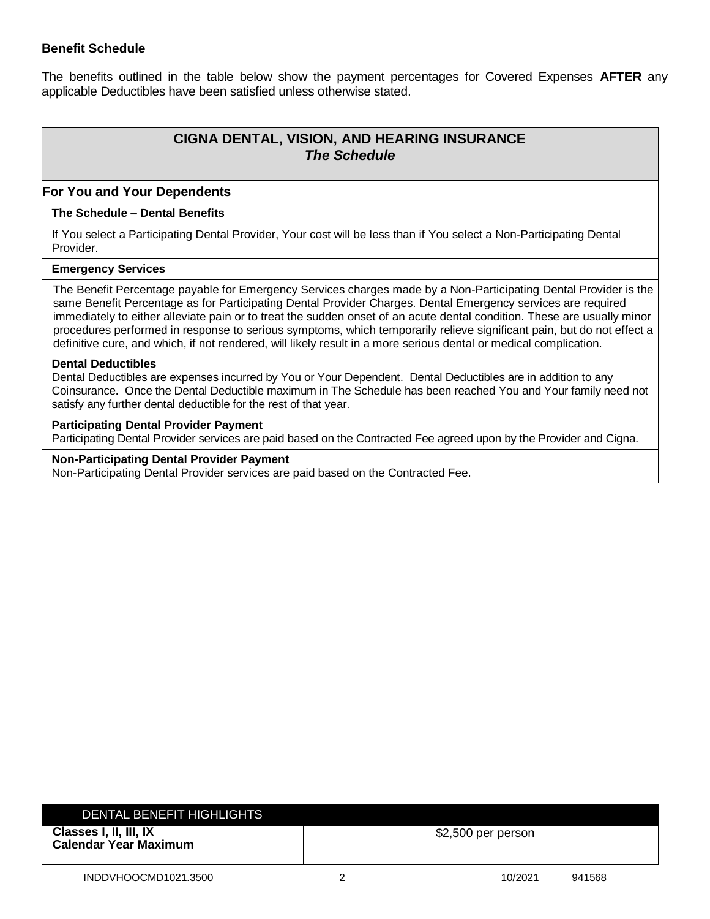# **Benefit Schedule**

The benefits outlined in the table below show the payment percentages for Covered Expenses **AFTER** any applicable Deductibles have been satisfied unless otherwise stated.

# **CIGNA DENTAL, VISION, AND HEARING INSURANCE** *The Schedule*

## **For You and Your Dependents**

## **The Schedule – Dental Benefits**

If You select a Participating Dental Provider, Your cost will be less than if You select a Non-Participating Dental Provider.

#### **Emergency Services**

The Benefit Percentage payable for Emergency Services charges made by a Non-Participating Dental Provider is the same Benefit Percentage as for Participating Dental Provider Charges. Dental Emergency services are required immediately to either alleviate pain or to treat the sudden onset of an acute dental condition. These are usually minor procedures performed in response to serious symptoms, which temporarily relieve significant pain, but do not effect a definitive cure, and which, if not rendered, will likely result in a more serious dental or medical complication.

#### **Dental Deductibles**

Dental Deductibles are expenses incurred by You or Your Dependent. Dental Deductibles are in addition to any Coinsurance. Once the Dental Deductible maximum in The Schedule has been reached You and Your family need not satisfy any further dental deductible for the rest of that year.

#### **Participating Dental Provider Payment**

Participating Dental Provider services are paid based on the Contracted Fee agreed upon by the Provider and Cigna.

## **Non-Participating Dental Provider Payment**

Non-Participating Dental Provider services are paid based on the Contracted Fee.

| DENTAL BENEFIT HIGHLIGHTS                              |                     |        |
|--------------------------------------------------------|---------------------|--------|
| Classes I, II, III, IX<br><b>Calendar Year Maximum</b> | $$2,500$ per person |        |
| INDDVHOOCMD1021.3500                                   | 10/2021             | 941568 |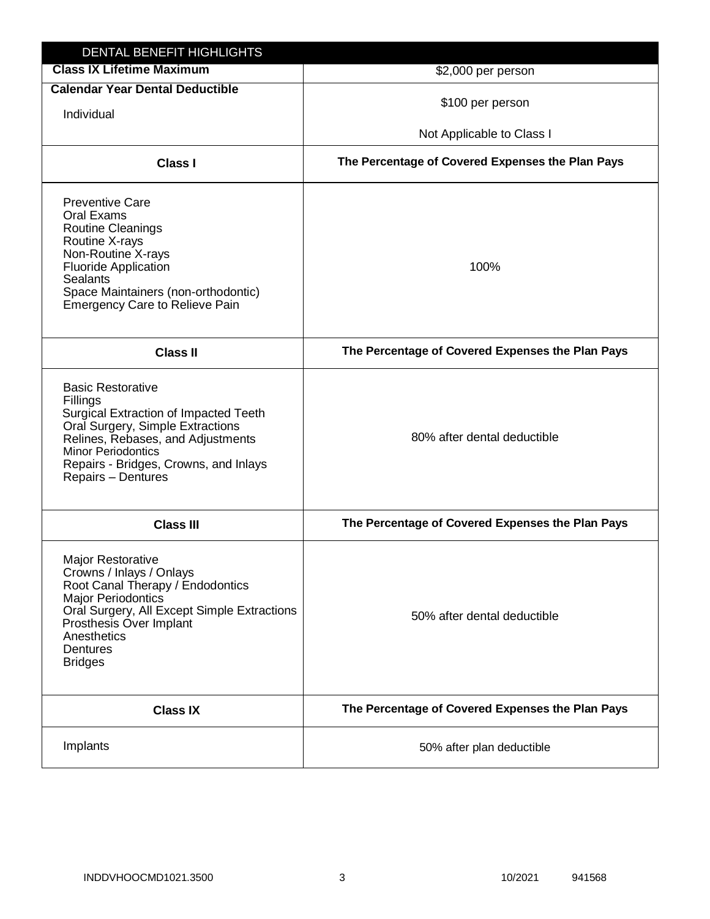| <b>Class IX Lifetime Maximum</b>                                                                                                                                                                                                                          | \$2,000 per person                               |  |
|-----------------------------------------------------------------------------------------------------------------------------------------------------------------------------------------------------------------------------------------------------------|--------------------------------------------------|--|
| <b>Calendar Year Dental Deductible</b>                                                                                                                                                                                                                    | \$100 per person                                 |  |
| Individual                                                                                                                                                                                                                                                |                                                  |  |
|                                                                                                                                                                                                                                                           | Not Applicable to Class I                        |  |
| <b>Class I</b>                                                                                                                                                                                                                                            | The Percentage of Covered Expenses the Plan Pays |  |
| <b>Preventive Care</b><br>Oral Exams<br>Routine Cleanings<br>Routine X-rays<br>Non-Routine X-rays<br><b>Fluoride Application</b><br><b>Sealants</b><br>Space Maintainers (non-orthodontic)<br><b>Emergency Care to Relieve Pain</b>                       | 100%                                             |  |
| <b>Class II</b>                                                                                                                                                                                                                                           | The Percentage of Covered Expenses the Plan Pays |  |
| <b>Basic Restorative</b><br>Fillings<br><b>Surgical Extraction of Impacted Teeth</b><br>Oral Surgery, Simple Extractions<br>Relines, Rebases, and Adjustments<br><b>Minor Periodontics</b><br>Repairs - Bridges, Crowns, and Inlays<br>Repairs - Dentures | 80% after dental deductible                      |  |
| <b>Class III</b>                                                                                                                                                                                                                                          | The Percentage of Covered Expenses the Plan Pays |  |
| <b>Major Restorative</b><br>Crowns / Inlays / Onlays<br>Root Canal Therapy / Endodontics<br><b>Major Periodontics</b><br>Oral Surgery, All Except Simple Extractions<br>Prosthesis Over Implant<br>Anesthetics<br>Dentures<br><b>Bridges</b>              | 50% after dental deductible                      |  |
| <b>Class IX</b>                                                                                                                                                                                                                                           | The Percentage of Covered Expenses the Plan Pays |  |
| Implants                                                                                                                                                                                                                                                  | 50% after plan deductible                        |  |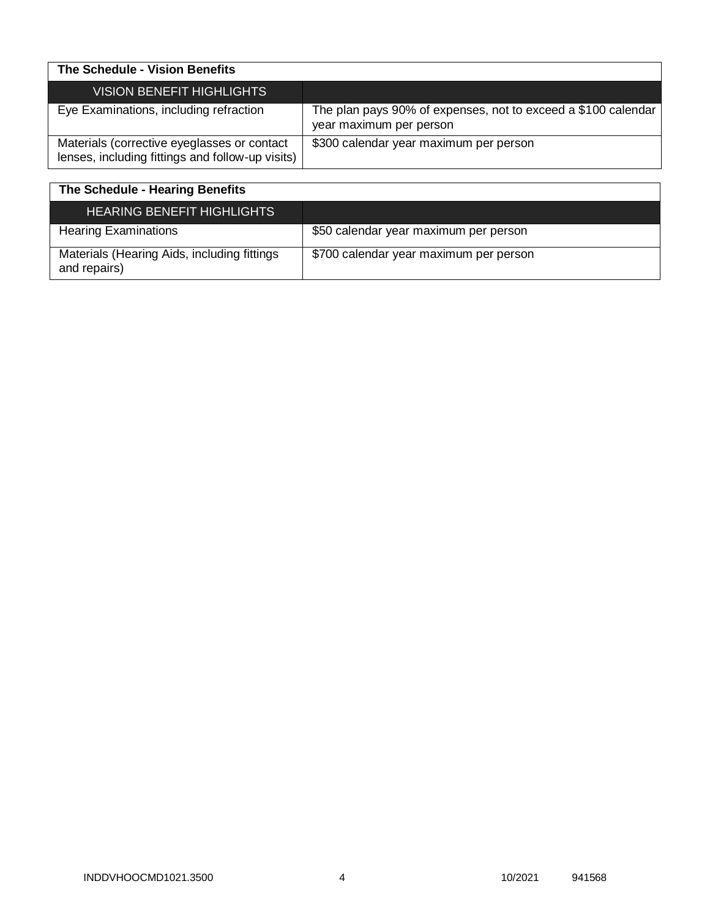| The Schedule - Vision Benefits                                                                  |                                                                                          |
|-------------------------------------------------------------------------------------------------|------------------------------------------------------------------------------------------|
| <b>VISION BENEFIT HIGHLIGHTS</b>                                                                |                                                                                          |
| Eye Examinations, including refraction                                                          | The plan pays 90% of expenses, not to exceed a \$100 calendar<br>year maximum per person |
| Materials (corrective eyeglasses or contact<br>lenses, including fittings and follow-up visits) | \$300 calendar year maximum per person                                                   |

| The Schedule - Hearing Benefits                             |                                        |
|-------------------------------------------------------------|----------------------------------------|
| <b>HEARING BENEFIT HIGHLIGHTS</b>                           |                                        |
| <b>Hearing Examinations</b>                                 | \$50 calendar year maximum per person  |
| Materials (Hearing Aids, including fittings<br>and repairs) | \$700 calendar year maximum per person |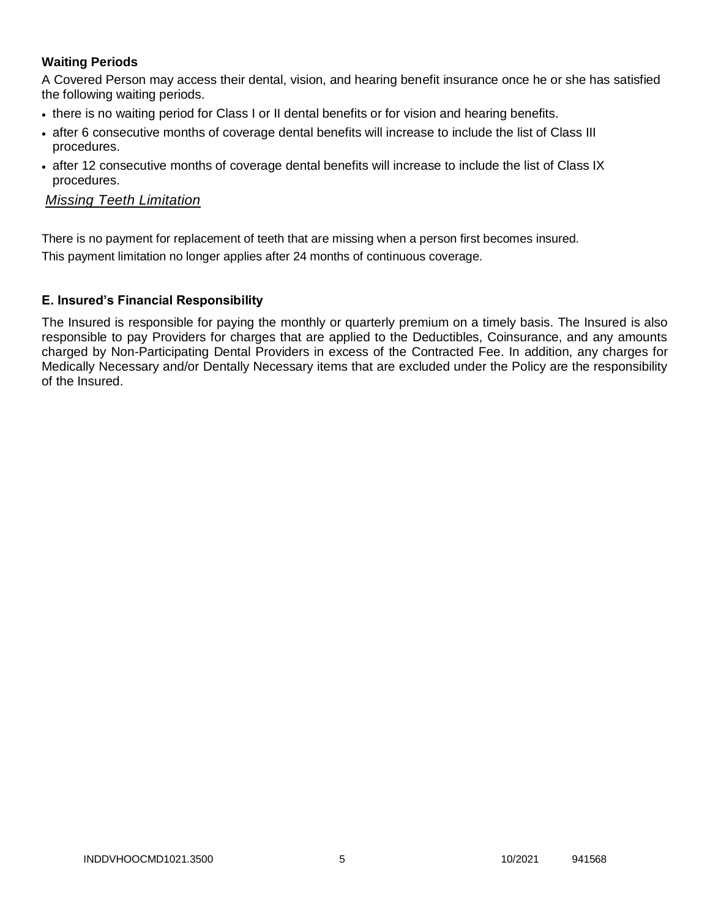# **Waiting Periods**

A Covered Person may access their dental, vision, and hearing benefit insurance once he or she has satisfied the following waiting periods.

- there is no waiting period for Class I or II dental benefits or for vision and hearing benefits.
- after 6 consecutive months of coverage dental benefits will increase to include the list of Class III procedures.
- after 12 consecutive months of coverage dental benefits will increase to include the list of Class IX procedures.

# *Missing Teeth Limitation*

There is no payment for replacement of teeth that are missing when a person first becomes insured.

This payment limitation no longer applies after 24 months of continuous coverage.

# **E. Insured's Financial Responsibility**

The Insured is responsible for paying the monthly or quarterly premium on a timely basis. The Insured is also responsible to pay Providers for charges that are applied to the Deductibles, Coinsurance, and any amounts charged by Non-Participating Dental Providers in excess of the Contracted Fee. In addition, any charges for Medically Necessary and/or Dentally Necessary items that are excluded under the Policy are the responsibility of the Insured.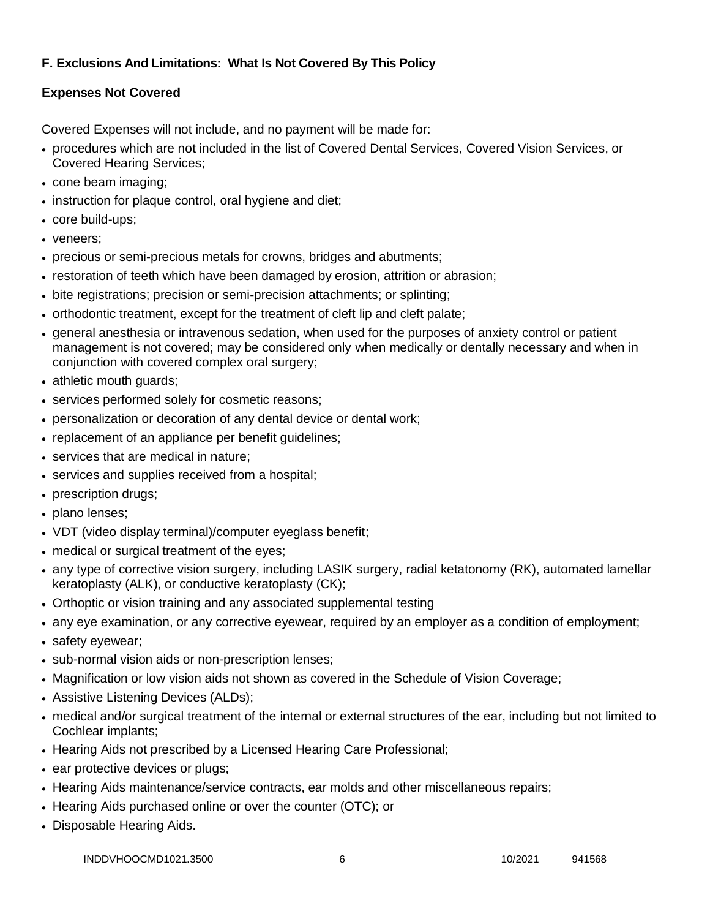# **F. Exclusions And Limitations: What Is Not Covered By This Policy**

# **Expenses Not Covered**

Covered Expenses will not include, and no payment will be made for:

- procedures which are not included in the list of Covered Dental Services, Covered Vision Services, or Covered Hearing Services;
- cone beam imaging;
- instruction for plaque control, oral hygiene and diet;
- core build-ups;
- veneers:
- precious or semi-precious metals for crowns, bridges and abutments;
- restoration of teeth which have been damaged by erosion, attrition or abrasion;
- bite registrations; precision or semi-precision attachments; or splinting;
- orthodontic treatment, except for the treatment of cleft lip and cleft palate;
- general anesthesia or intravenous sedation, when used for the purposes of anxiety control or patient management is not covered; may be considered only when medically or dentally necessary and when in conjunction with covered complex oral surgery;
- athletic mouth guards;
- services performed solely for cosmetic reasons;
- personalization or decoration of any dental device or dental work;
- replacement of an appliance per benefit guidelines;
- services that are medical in nature:
- services and supplies received from a hospital;
- prescription drugs;
- plano lenses:
- VDT (video display terminal)/computer eyeglass benefit;
- medical or surgical treatment of the eyes;
- any type of corrective vision surgery, including LASIK surgery, radial ketatonomy (RK), automated lamellar keratoplasty (ALK), or conductive keratoplasty (CK);
- Orthoptic or vision training and any associated supplemental testing
- any eye examination, or any corrective eyewear, required by an employer as a condition of employment;
- safety eyewear;
- sub-normal vision aids or non-prescription lenses;
- Magnification or low vision aids not shown as covered in the Schedule of Vision Coverage;
- Assistive Listening Devices (ALDs);
- medical and/or surgical treatment of the internal or external structures of the ear, including but not limited to Cochlear implants;
- Hearing Aids not prescribed by a Licensed Hearing Care Professional;
- ear protective devices or plugs;
- Hearing Aids maintenance/service contracts, ear molds and other miscellaneous repairs;
- Hearing Aids purchased online or over the counter (OTC); or
- Disposable Hearing Aids.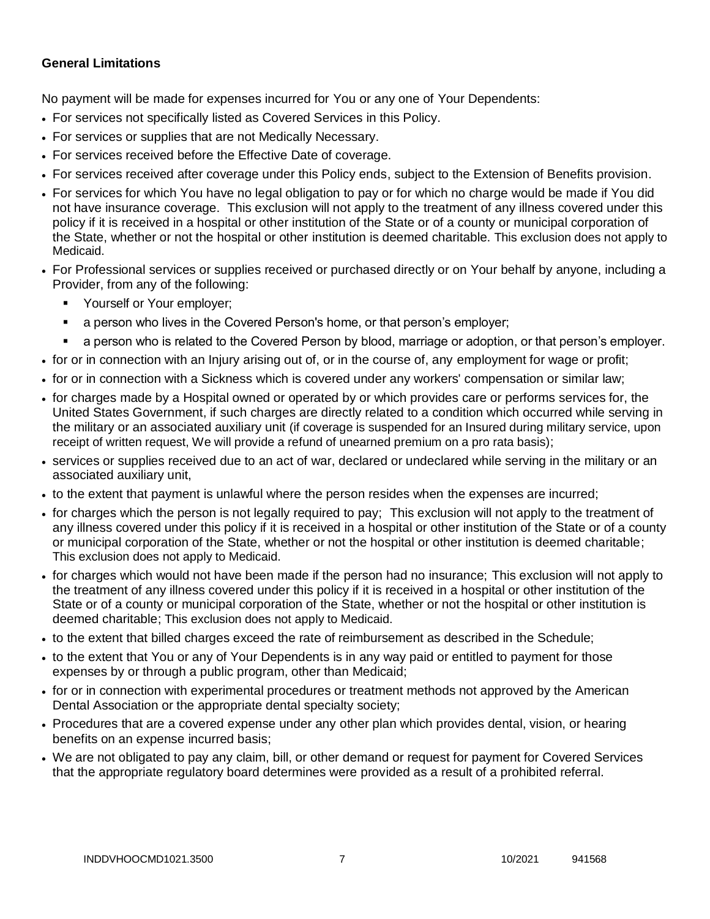# **General Limitations**

No payment will be made for expenses incurred for You or any one of Your Dependents:

- For services not specifically listed as Covered Services in this Policy.
- For services or supplies that are not Medically Necessary.
- For services received before the Effective Date of coverage.
- For services received after coverage under this Policy ends, subject to the Extension of Benefits provision.
- For services for which You have no legal obligation to pay or for which no charge would be made if You did not have insurance coverage. This exclusion will not apply to the treatment of any illness covered under this policy if it is received in a hospital or other institution of the State or of a county or municipal corporation of the State, whether or not the hospital or other institution is deemed charitable. This exclusion does not apply to Medicaid.
- For Professional services or supplies received or purchased directly or on Your behalf by anyone, including a Provider, from any of the following:
	- **Yourself or Your employer;**
	- a person who lives in the Covered Person's home, or that person's employer;
	- a person who is related to the Covered Person by blood, marriage or adoption, or that person's employer.
- for or in connection with an Injury arising out of, or in the course of, any employment for wage or profit;
- for or in connection with a Sickness which is covered under any workers' compensation or similar law;
- for charges made by a Hospital owned or operated by or which provides care or performs services for, the United States Government, if such charges are directly related to a condition which occurred while serving in the military or an associated auxiliary unit (if coverage is suspended for an Insured during military service, upon receipt of written request, We will provide a refund of unearned premium on a pro rata basis);
- services or supplies received due to an act of war, declared or undeclared while serving in the military or an associated auxiliary unit,
- to the extent that payment is unlawful where the person resides when the expenses are incurred;
- for charges which the person is not legally required to pay; This exclusion will not apply to the treatment of any illness covered under this policy if it is received in a hospital or other institution of the State or of a county or municipal corporation of the State, whether or not the hospital or other institution is deemed charitable; This exclusion does not apply to Medicaid.
- for charges which would not have been made if the person had no insurance; This exclusion will not apply to the treatment of any illness covered under this policy if it is received in a hospital or other institution of the State or of a county or municipal corporation of the State, whether or not the hospital or other institution is deemed charitable; This exclusion does not apply to Medicaid.
- to the extent that billed charges exceed the rate of reimbursement as described in the Schedule;
- to the extent that You or any of Your Dependents is in any way paid or entitled to payment for those expenses by or through a public program, other than Medicaid;
- for or in connection with experimental procedures or treatment methods not approved by the American Dental Association or the appropriate dental specialty society;
- Procedures that are a covered expense under any other plan which provides dental, vision, or hearing benefits on an expense incurred basis;
- We are not obligated to pay any claim, bill, or other demand or request for payment for Covered Services that the appropriate regulatory board determines were provided as a result of a prohibited referral.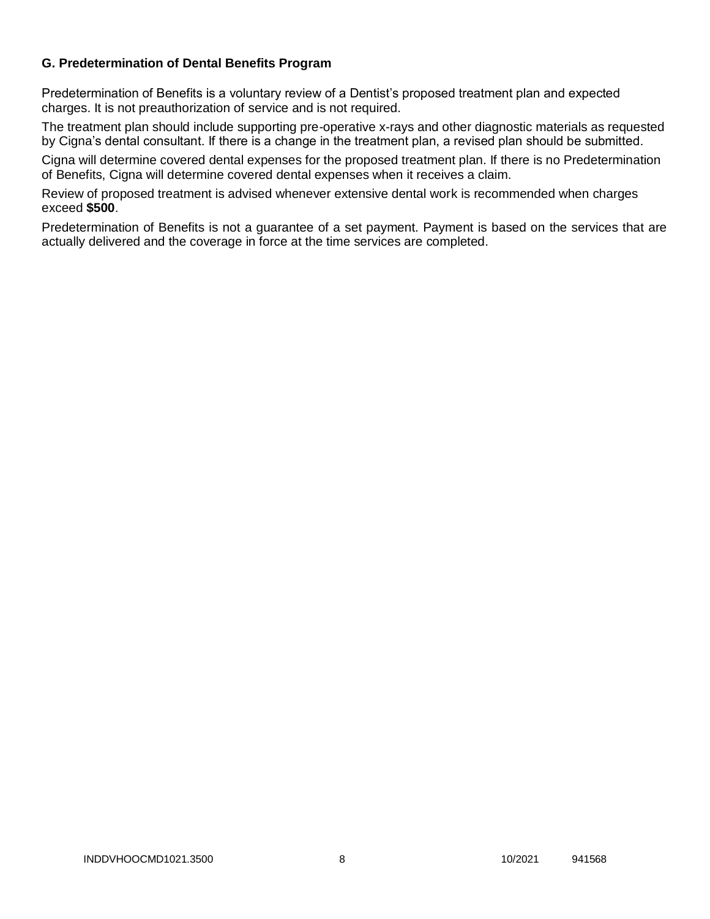# **G. Predetermination of Dental Benefits Program**

Predetermination of Benefits is a voluntary review of a Dentist's proposed treatment plan and expected charges. It is not preauthorization of service and is not required.

The treatment plan should include supporting pre-operative x-rays and other diagnostic materials as requested by Cigna's dental consultant. If there is a change in the treatment plan, a revised plan should be submitted.

Cigna will determine covered dental expenses for the proposed treatment plan. If there is no Predetermination of Benefits, Cigna will determine covered dental expenses when it receives a claim.

Review of proposed treatment is advised whenever extensive dental work is recommended when charges exceed **\$500**.

Predetermination of Benefits is not a guarantee of a set payment. Payment is based on the services that are actually delivered and the coverage in force at the time services are completed.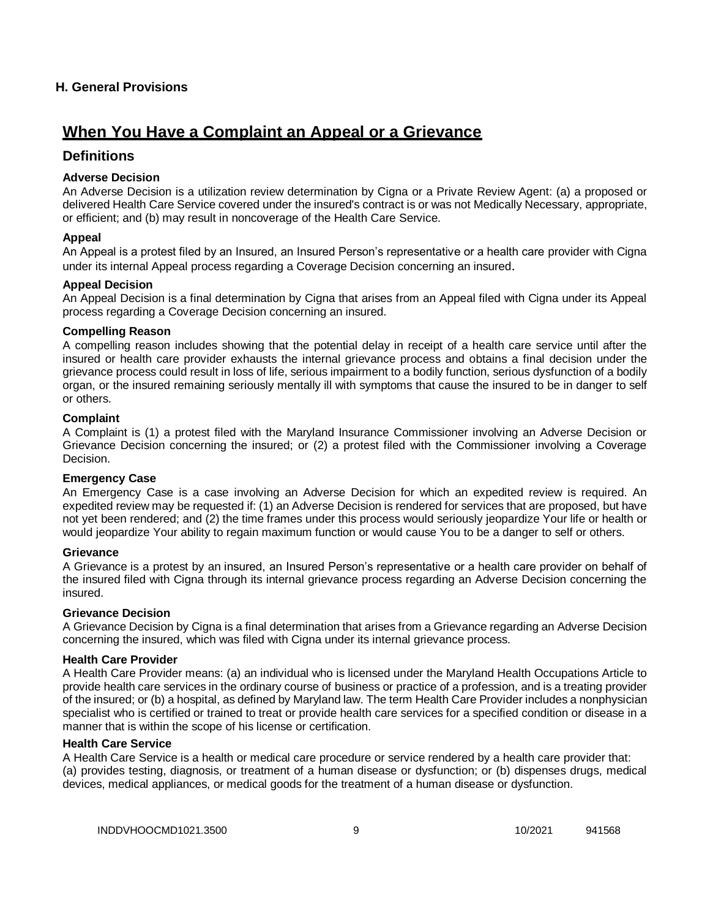## **H. General Provisions**

# **When You Have a Complaint an Appeal or a Grievance**

# **Definitions**

#### **Adverse Decision**

An Adverse Decision is a utilization review determination by Cigna or a Private Review Agent: (a) a proposed or delivered Health Care Service covered under the insured's contract is or was not Medically Necessary, appropriate, or efficient; and (b) may result in noncoverage of the Health Care Service.

#### **Appeal**

An Appeal is a protest filed by an Insured, an Insured Person's representative or a health care provider with Cigna under its internal Appeal process regarding a Coverage Decision concerning an insured.

#### **Appeal Decision**

An Appeal Decision is a final determination by Cigna that arises from an Appeal filed with Cigna under its Appeal process regarding a Coverage Decision concerning an insured.

#### **Compelling Reason**

A compelling reason includes showing that the potential delay in receipt of a health care service until after the insured or health care provider exhausts the internal grievance process and obtains a final decision under the grievance process could result in loss of life, serious impairment to a bodily function, serious dysfunction of a bodily organ, or the insured remaining seriously mentally ill with symptoms that cause the insured to be in danger to self or others.

#### **Complaint**

A Complaint is (1) a protest filed with the Maryland Insurance Commissioner involving an Adverse Decision or Grievance Decision concerning the insured; or (2) a protest filed with the Commissioner involving a Coverage Decision.

#### **Emergency Case**

An Emergency Case is a case involving an Adverse Decision for which an expedited review is required. An expedited review may be requested if: (1) an Adverse Decision is rendered for services that are proposed, but have not yet been rendered; and (2) the time frames under this process would seriously jeopardize Your life or health or would jeopardize Your ability to regain maximum function or would cause You to be a danger to self or others.

#### **Grievance**

A Grievance is a protest by an insured, an Insured Person's representative or a health care provider on behalf of the insured filed with Cigna through its internal grievance process regarding an Adverse Decision concerning the insured.

#### **Grievance Decision**

A Grievance Decision by Cigna is a final determination that arises from a Grievance regarding an Adverse Decision concerning the insured, which was filed with Cigna under its internal grievance process.

#### **Health Care Provider**

A Health Care Provider means: (a) an individual who is licensed under the Maryland Health Occupations Article to provide health care services in the ordinary course of business or practice of a profession, and is a treating provider of the insured; or (b) a hospital, as defined by Maryland law. The term Health Care Provider includes a nonphysician specialist who is certified or trained to treat or provide health care services for a specified condition or disease in a manner that is within the scope of his license or certification.

#### **Health Care Service**

A Health Care Service is a health or medical care procedure or service rendered by a health care provider that: (a) provides testing, diagnosis, or treatment of a human disease or dysfunction; or (b) dispenses drugs, medical devices, medical appliances, or medical goods for the treatment of a human disease or dysfunction.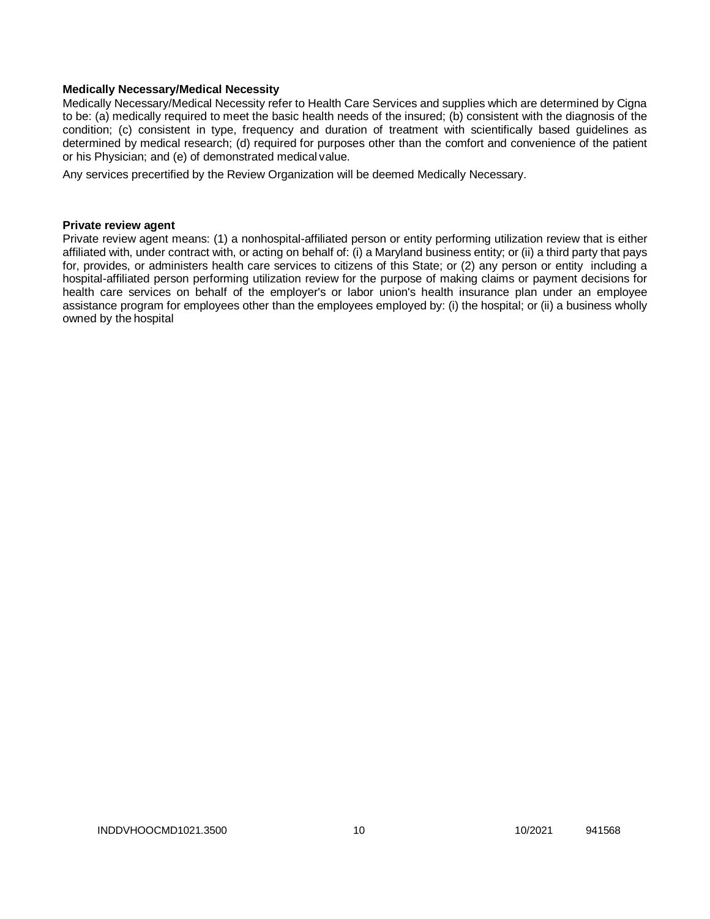#### **Medically Necessary/Medical Necessity**

Medically Necessary/Medical Necessity refer to Health Care Services and supplies which are determined by Cigna to be: (a) medically required to meet the basic health needs of the insured; (b) consistent with the diagnosis of the condition; (c) consistent in type, frequency and duration of treatment with scientifically based guidelines as determined by medical research; (d) required for purposes other than the comfort and convenience of the patient or his Physician; and (e) of demonstrated medical value.

Any services precertified by the Review Organization will be deemed Medically Necessary.

#### **Private review agent**

Private review agent means: (1) a nonhospital-affiliated person or entity performing utilization review that is either affiliated with, under contract with, or acting on behalf of: (i) a Maryland business entity; or (ii) a third party that pays for, provides, or administers health care services to citizens of this State; or (2) any person or entity including a hospital-affiliated person performing utilization review for the purpose of making claims or payment decisions for health care services on behalf of the employer's or labor union's health insurance plan under an employee assistance program for employees other than the employees employed by: (i) the hospital; or (ii) a business wholly owned by the hospital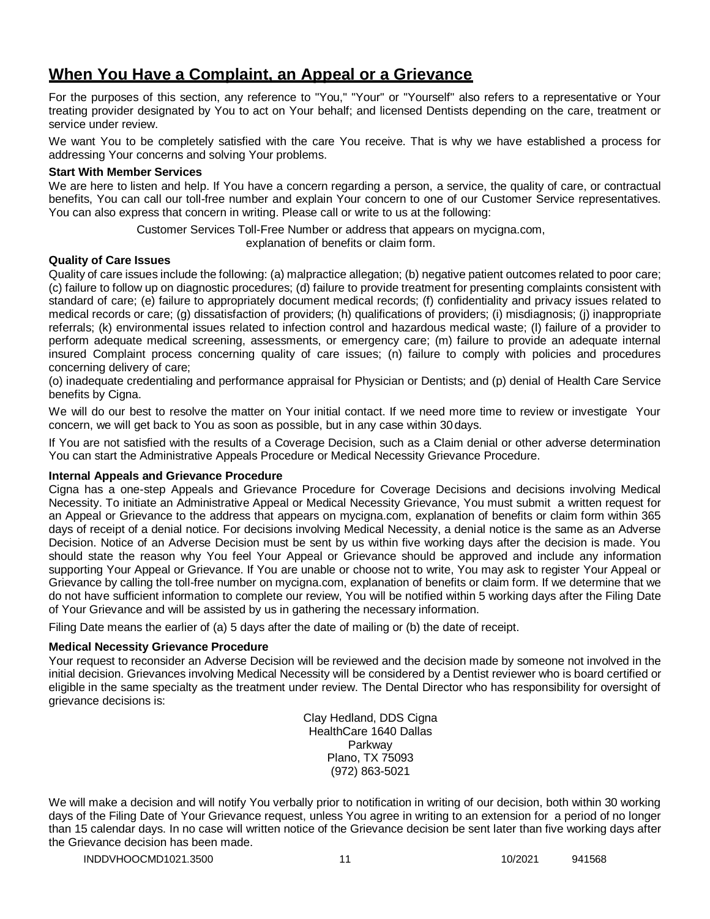# **When You Have a Complaint, an Appeal or a Grievance**

For the purposes of this section, any reference to "You," "Your" or "Yourself" also refers to a representative or Your treating provider designated by You to act on Your behalf; and licensed Dentists depending on the care, treatment or service under review.

We want You to be completely satisfied with the care You receive. That is why we have established a process for addressing Your concerns and solving Your problems.

#### **Start With Member Services**

We are here to listen and help. If You have a concern regarding a person, a service, the quality of care, or contractual benefits, You can call our toll-free number and explain Your concern to one of our Customer Service representatives. You can also express that concern in writing. Please call or write to us at the following:

Customer Services Toll-Free Number or address that appears on mycigna.com,

explanation of benefits or claim form.

## **Quality of Care Issues**

Quality of care issues include the following: (a) malpractice allegation; (b) negative patient outcomes related to poor care; (c) failure to follow up on diagnostic procedures; (d) failure to provide treatment for presenting complaints consistent with standard of care; (e) failure to appropriately document medical records; (f) confidentiality and privacy issues related to medical records or care; (g) dissatisfaction of providers; (h) qualifications of providers; (i) misdiagnosis; (j) inappropriate referrals; (k) environmental issues related to infection control and hazardous medical waste; (l) failure of a provider to perform adequate medical screening, assessments, or emergency care; (m) failure to provide an adequate internal insured Complaint process concerning quality of care issues; (n) failure to comply with policies and procedures concerning delivery of care;

(o) inadequate credentialing and performance appraisal for Physician or Dentists; and (p) denial of Health Care Service benefits by Cigna.

We will do our best to resolve the matter on Your initial contact. If we need more time to review or investigate Your concern, we will get back to You as soon as possible, but in any case within 30days.

If You are not satisfied with the results of a Coverage Decision, such as a Claim denial or other adverse determination You can start the Administrative Appeals Procedure or Medical Necessity Grievance Procedure.

## **Internal Appeals and Grievance Procedure**

Cigna has a one-step Appeals and Grievance Procedure for Coverage Decisions and decisions involving Medical Necessity. To initiate an Administrative Appeal or Medical Necessity Grievance, You must submit a written request for an Appeal or Grievance to the address that appears on mycigna.com, explanation of benefits or claim form within 365 days of receipt of a denial notice. For decisions involving Medical Necessity, a denial notice is the same as an Adverse Decision. Notice of an Adverse Decision must be sent by us within five working days after the decision is made. You should state the reason why You feel Your Appeal or Grievance should be approved and include any information supporting Your Appeal or Grievance. If You are unable or choose not to write, You may ask to register Your Appeal or Grievance by calling the toll-free number on mycigna.com, explanation of benefits or claim form. If we determine that we do not have sufficient information to complete our review, You will be notified within 5 working days after the Filing Date of Your Grievance and will be assisted by us in gathering the necessary information.

Filing Date means the earlier of (a) 5 days after the date of mailing or (b) the date of receipt.

## **Medical Necessity Grievance Procedure**

Your request to reconsider an Adverse Decision will be reviewed and the decision made by someone not involved in the initial decision. Grievances involving Medical Necessity will be considered by a Dentist reviewer who is board certified or eligible in the same specialty as the treatment under review. The Dental Director who has responsibility for oversight of grievance decisions is:

> Clay Hedland, DDS Cigna HealthCare 1640 Dallas Parkway Plano, TX 75093 (972) 863-5021

We will make a decision and will notify You verbally prior to notification in writing of our decision, both within 30 working days of the Filing Date of Your Grievance request, unless You agree in writing to an extension for a period of no longer than 15 calendar days. In no case will written notice of the Grievance decision be sent later than five working days after the Grievance decision has been made.

INDDVHOOCMD1021.3500 11 10/2021 941568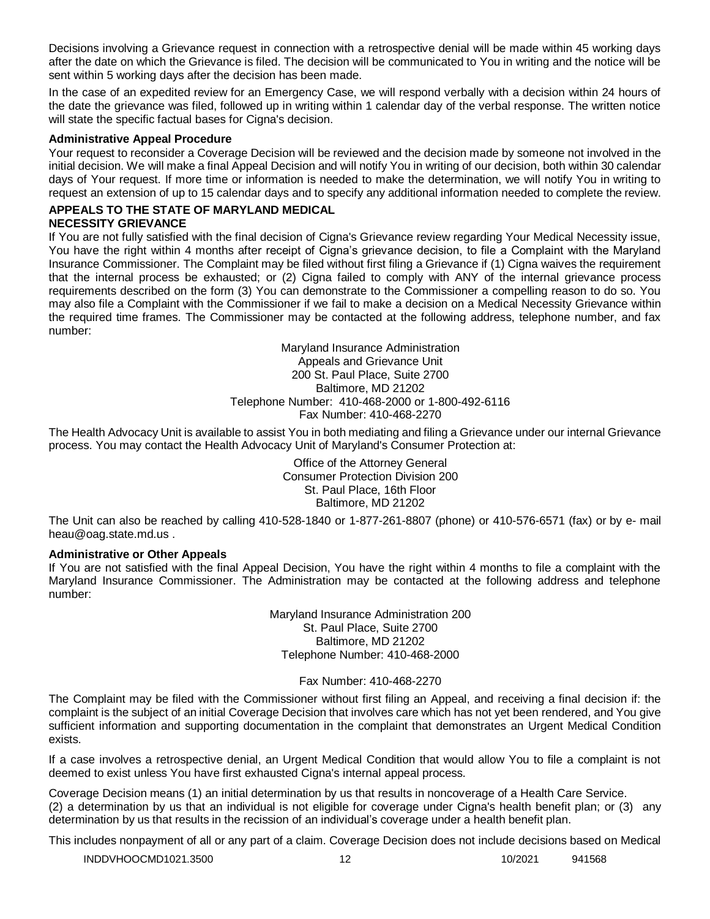Decisions involving a Grievance request in connection with a retrospective denial will be made within 45 working days after the date on which the Grievance is filed. The decision will be communicated to You in writing and the notice will be sent within 5 working days after the decision has been made.

In the case of an expedited review for an Emergency Case, we will respond verbally with a decision within 24 hours of the date the grievance was filed, followed up in writing within 1 calendar day of the verbal response. The written notice will state the specific factual bases for Cigna's decision.

#### **Administrative Appeal Procedure**

Your request to reconsider a Coverage Decision will be reviewed and the decision made by someone not involved in the initial decision. We will make a final Appeal Decision and will notify You in writing of our decision, both within 30 calendar days of Your request. If more time or information is needed to make the determination, we will notify You in writing to request an extension of up to 15 calendar days and to specify any additional information needed to complete the review.

#### **APPEALS TO THE STATE OF MARYLAND MEDICAL NECESSITY GRIEVANCE**

If You are not fully satisfied with the final decision of Cigna's Grievance review regarding Your Medical Necessity issue, You have the right within 4 months after receipt of Cigna's grievance decision, to file a Complaint with the Maryland Insurance Commissioner. The Complaint may be filed without first filing a Grievance if (1) Cigna waives the requirement that the internal process be exhausted; or (2) Cigna failed to comply with ANY of the internal grievance process requirements described on the form (3) You can demonstrate to the Commissioner a compelling reason to do so. You may also file a Complaint with the Commissioner if we fail to make a decision on a Medical Necessity Grievance within the required time frames. The Commissioner may be contacted at the following address, telephone number, and fax number:

> Maryland Insurance Administration Appeals and Grievance Unit 200 St. Paul Place, Suite 2700 Baltimore, MD 21202 Telephone Number: 410-468-2000 or 1-800-492-6116 Fax Number: 410-468-2270

The Health Advocacy Unit is available to assist You in both mediating and filing a Grievance under our internal Grievance process. You may contact the Health Advocacy Unit of Maryland's Consumer Protection at:

> Office of the Attorney General Consumer Protection Division 200 St. Paul Place, 16th Floor Baltimore, MD 21202

The Unit can also be reached by calling 410-528-1840 or 1-877-261-8807 (phone) or 410-576-6571 (fax) or by e- mail [heau@oag.state.md.us](mailto:heau@oag.state.md.us) .

#### **Administrative or Other Appeals**

If You are not satisfied with the final Appeal Decision, You have the right within 4 months to file a complaint with the Maryland Insurance Commissioner. The Administration may be contacted at the following address and telephone number:

> Maryland Insurance Administration 200 St. Paul Place, Suite 2700 Baltimore, MD 21202 Telephone Number: 410-468-2000

> > Fax Number: 410-468-2270

The Complaint may be filed with the Commissioner without first filing an Appeal, and receiving a final decision if: the complaint is the subject of an initial Coverage Decision that involves care which has not yet been rendered, and You give sufficient information and supporting documentation in the complaint that demonstrates an Urgent Medical Condition exists.

If a case involves a retrospective denial, an Urgent Medical Condition that would allow You to file a complaint is not deemed to exist unless You have first exhausted Cigna's internal appeal process.

Coverage Decision means (1) an initial determination by us that results in noncoverage of a Health Care Service. (2) a determination by us that an individual is not eligible for coverage under Cigna's health benefit plan; or (3) any determination by us that results in the recission of an individual's coverage under a health benefit plan.

This includes nonpayment of all or any part of a claim. Coverage Decision does not include decisions based on Medical

INDDVHOOCMD1021.3500 12 12 10/2021 941568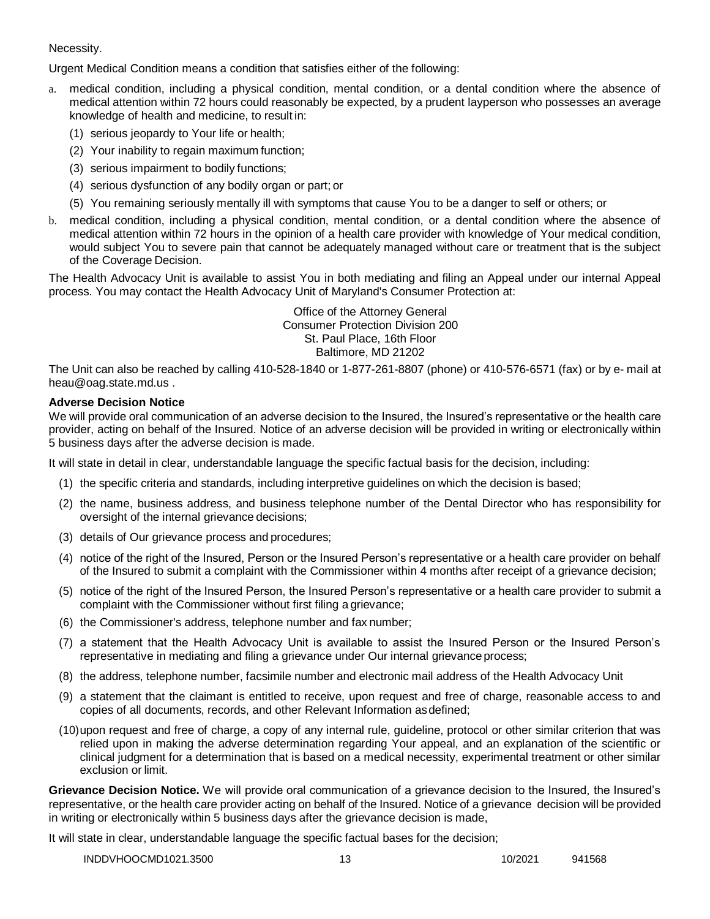#### Necessity.

Urgent Medical Condition means a condition that satisfies either of the following:

- medical condition, including a physical condition, mental condition, or a dental condition where the absence of medical attention within 72 hours could reasonably be expected, by a prudent layperson who possesses an average knowledge of health and medicine, to result in:
	- (1) serious jeopardy to Your life or health;
	- (2) Your inability to regain maximum function;
	- (3) serious impairment to bodily functions;
	- (4) serious dysfunction of any bodily organ or part; or
	- (5) You remaining seriously mentally ill with symptoms that cause You to be a danger to self or others; or
- b. medical condition, including a physical condition, mental condition, or a dental condition where the absence of medical attention within 72 hours in the opinion of a health care provider with knowledge of Your medical condition, would subject You to severe pain that cannot be adequately managed without care or treatment that is the subject of the Coverage Decision.

The Health Advocacy Unit is available to assist You in both mediating and filing an Appeal under our internal Appeal process. You may contact the Health Advocacy Unit of Maryland's Consumer Protection at:

> Office of the Attorney General Consumer Protection Division 200 St. Paul Place, 16th Floor Baltimore, MD 21202

The Unit can also be reached by calling 410-528-1840 or 1-877-261-8807 (phone) or 410-576-6571 (fax) or by e- mail at [heau@oag.state.md.us](mailto:heau@oag.state.md.us) .

## **Adverse Decision Notice**

We will provide oral communication of an adverse decision to the Insured, the Insured's representative or the health care provider, acting on behalf of the Insured. Notice of an adverse decision will be provided in writing or electronically within 5 business days after the adverse decision is made.

It will state in detail in clear, understandable language the specific factual basis for the decision, including:

- (1) the specific criteria and standards, including interpretive guidelines on which the decision is based;
- (2) the name, business address, and business telephone number of the Dental Director who has responsibility for oversight of the internal grievance decisions;
- (3) details of Our grievance process and procedures;
- (4) notice of the right of the Insured, Person or the Insured Person's representative or a health care provider on behalf of the Insured to submit a complaint with the Commissioner within 4 months after receipt of a grievance decision;
- (5) notice of the right of the Insured Person, the Insured Person's representative or a health care provider to submit a complaint with the Commissioner without first filing a grievance;
- (6) the Commissioner's address, telephone number and fax number;
- (7) a statement that the Health Advocacy Unit is available to assist the Insured Person or the Insured Person's representative in mediating and filing a grievance under Our internal grievance process;
- (8) the address, telephone number, facsimile number and electronic mail address of the Health Advocacy Unit
- (9) a statement that the claimant is entitled to receive, upon request and free of charge, reasonable access to and copies of all documents, records, and other Relevant Information asdefined;
- (10)upon request and free of charge, a copy of any internal rule, guideline, protocol or other similar criterion that was relied upon in making the adverse determination regarding Your appeal, and an explanation of the scientific or clinical judgment for a determination that is based on a medical necessity, experimental treatment or other similar exclusion or limit.

**Grievance Decision Notice.** We will provide oral communication of a grievance decision to the Insured, the Insured's representative, or the health care provider acting on behalf of the Insured. Notice of a grievance decision will be provided in writing or electronically within 5 business days after the grievance decision is made,

It will state in clear, understandable language the specific factual bases for the decision;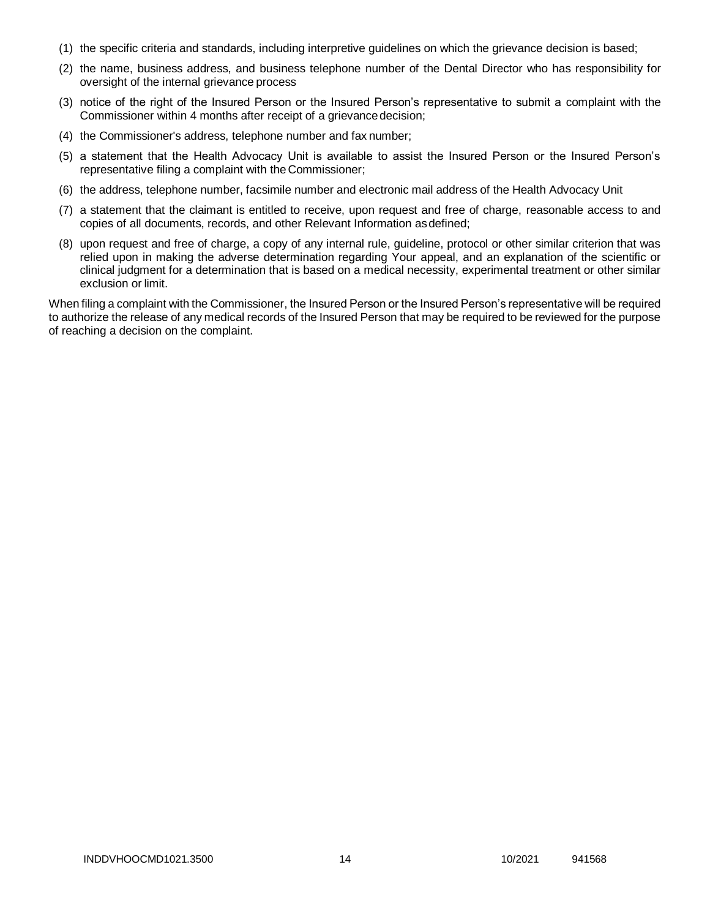- (1) the specific criteria and standards, including interpretive guidelines on which the grievance decision is based;
- (2) the name, business address, and business telephone number of the Dental Director who has responsibility for oversight of the internal grievance process
- (3) notice of the right of the Insured Person or the Insured Person's representative to submit a complaint with the Commissioner within 4 months after receipt of a grievance decision;
- (4) the Commissioner's address, telephone number and fax number;
- (5) a statement that the Health Advocacy Unit is available to assist the Insured Person or the Insured Person's representative filing a complaint with the Commissioner;
- (6) the address, telephone number, facsimile number and electronic mail address of the Health Advocacy Unit
- (7) a statement that the claimant is entitled to receive, upon request and free of charge, reasonable access to and copies of all documents, records, and other Relevant Information asdefined;
- (8) upon request and free of charge, a copy of any internal rule, guideline, protocol or other similar criterion that was relied upon in making the adverse determination regarding Your appeal, and an explanation of the scientific or clinical judgment for a determination that is based on a medical necessity, experimental treatment or other similar exclusion or limit.

When filing a complaint with the Commissioner, the Insured Person or the Insured Person's representative will be required to authorize the release of any medical records of the Insured Person that may be required to be reviewed for the purpose of reaching a decision on the complaint.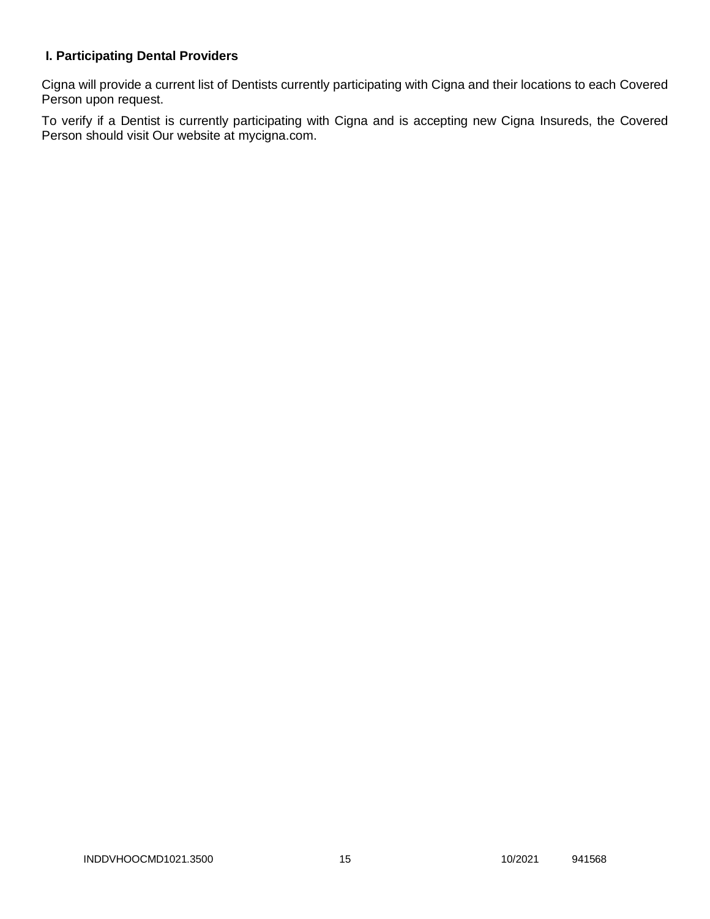# **I. Participating Dental Providers**

Cigna will provide a current list of Dentists currently participating with Cigna and their locations to each Covered Person upon request.

To verify if a Dentist is currently participating with Cigna and is accepting new Cigna Insureds, the Covered Person should visit Our website at mycigna.com.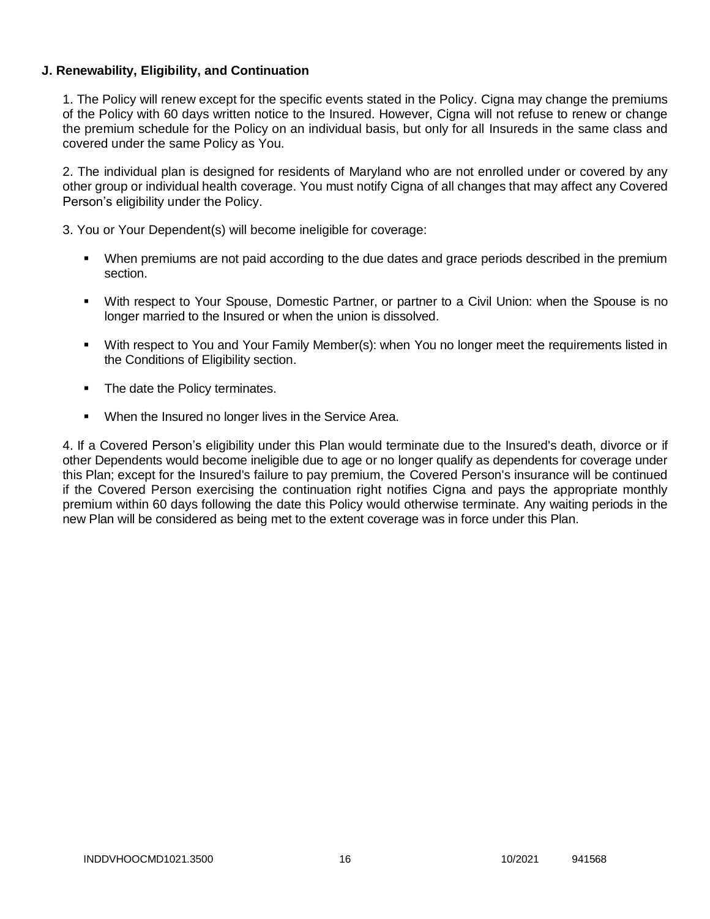## **J. Renewability, Eligibility, and Continuation**

1. The Policy will renew except for the specific events stated in the Policy. Cigna may change the premiums of the Policy with 60 days written notice to the Insured. However, Cigna will not refuse to renew or change the premium schedule for the Policy on an individual basis, but only for all Insureds in the same class and covered under the same Policy as You.

2. The individual plan is designed for residents of Maryland who are not enrolled under or covered by any other group or individual health coverage. You must notify Cigna of all changes that may affect any Covered Person's eligibility under the Policy.

3. You or Your Dependent(s) will become ineligible for coverage:

- When premiums are not paid according to the due dates and grace periods described in the premium section.
- With respect to Your Spouse, Domestic Partner, or partner to a Civil Union: when the Spouse is no longer married to the Insured or when the union is dissolved.
- With respect to You and Your Family Member(s): when You no longer meet the requirements listed in the Conditions of Eligibility section.
- The date the Policy terminates.
- **When the Insured no longer lives in the Service Area.**

4. If a Covered Person's eligibility under this Plan would terminate due to the Insured's death, divorce or if other Dependents would become ineligible due to age or no longer qualify as dependents for coverage under this Plan; except for the Insured's failure to pay premium, the Covered Person's insurance will be continued if the Covered Person exercising the continuation right notifies Cigna and pays the appropriate monthly premium within 60 days following the date this Policy would otherwise terminate. Any waiting periods in the new Plan will be considered as being met to the extent coverage was in force under this Plan.